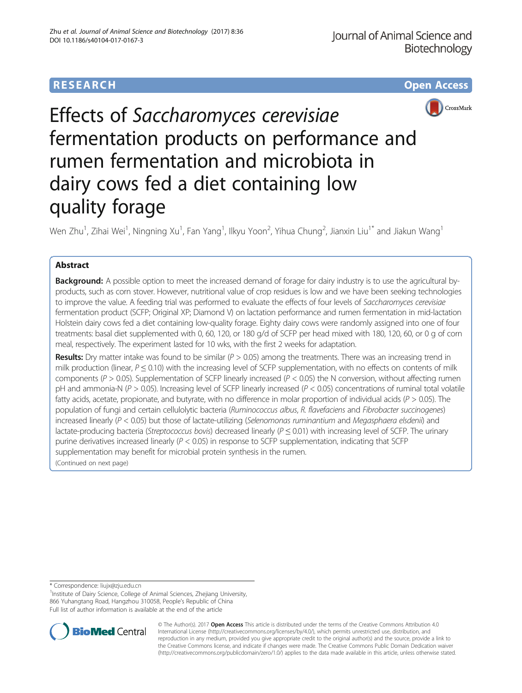# **RESEARCH CHE Open Access**



# Effects of Saccharomyces cerevisiae fermentation products on performance and rumen fermentation and microbiota in dairy cows fed a diet containing low quality forage

Wen Zhu<sup>1</sup>, Zihai Wei<sup>1</sup>, Ningning Xu<sup>1</sup>, Fan Yang<sup>1</sup>, Ilkyu Yoon<sup>2</sup>, Yihua Chung<sup>2</sup>, Jianxin Liu<sup>1\*</sup> and Jiakun Wang<sup>1</sup>

## Abstract

Background: A possible option to meet the increased demand of forage for dairy industry is to use the agricultural byproducts, such as corn stover. However, nutritional value of crop residues is low and we have been seeking technologies to improve the value. A feeding trial was performed to evaluate the effects of four levels of Saccharomyces cerevisiae fermentation product (SCFP; Original XP; Diamond V) on lactation performance and rumen fermentation in mid-lactation Holstein dairy cows fed a diet containing low-quality forage. Eighty dairy cows were randomly assigned into one of four treatments: basal diet supplemented with 0, 60, 120, or 180 g/d of SCFP per head mixed with 180, 120, 60, or 0 g of corn meal, respectively. The experiment lasted for 10 wks, with the first 2 weeks for adaptation.

**Results:** Dry matter intake was found to be similar ( $P > 0.05$ ) among the treatments. There was an increasing trend in milk production (linear,  $P \le 0.10$ ) with the increasing level of SCFP supplementation, with no effects on contents of milk components ( $P > 0.05$ ). Supplementation of SCFP linearly increased ( $P < 0.05$ ) the N conversion, without affecting rumen pH and ammonia-N ( $P > 0.05$ ). Increasing level of SCFP linearly increased ( $P < 0.05$ ) concentrations of ruminal total volatile fatty acids, acetate, propionate, and butyrate, with no difference in molar proportion of individual acids ( $P > 0.05$ ). The population of fungi and certain cellulolytic bacteria (Ruminococcus albus, R. flavefaciens and Fibrobacter succinogenes) increased linearly ( $P < 0.05$ ) but those of lactate-utilizing (Selenomonas ruminantium and Megasphaera elsdenii) and lactate-producing bacteria (Streptococcus bovis) decreased linearly ( $P \le 0.01$ ) with increasing level of SCFP. The urinary purine derivatives increased linearly ( $P < 0.05$ ) in response to SCFP supplementation, indicating that SCFP supplementation may benefit for microbial protein synthesis in the rumen. (Continued on next page)

\* Correspondence: [liujx@zju.edu.cn](mailto:liujx@zju.edu.cn) <sup>1</sup>

<sup>1</sup> Institute of Dairy Science, College of Animal Sciences, Zhejiang University, 866 Yuhangtang Road, Hangzhou 310058, People's Republic of China Full list of author information is available at the end of the article



© The Author(s). 2017 **Open Access** This article is distributed under the terms of the Creative Commons Attribution 4.0 International License [\(http://creativecommons.org/licenses/by/4.0/](http://creativecommons.org/licenses/by/4.0/)), which permits unrestricted use, distribution, and reproduction in any medium, provided you give appropriate credit to the original author(s) and the source, provide a link to the Creative Commons license, and indicate if changes were made. The Creative Commons Public Domain Dedication waiver [\(http://creativecommons.org/publicdomain/zero/1.0/](http://creativecommons.org/publicdomain/zero/1.0/)) applies to the data made available in this article, unless otherwise stated.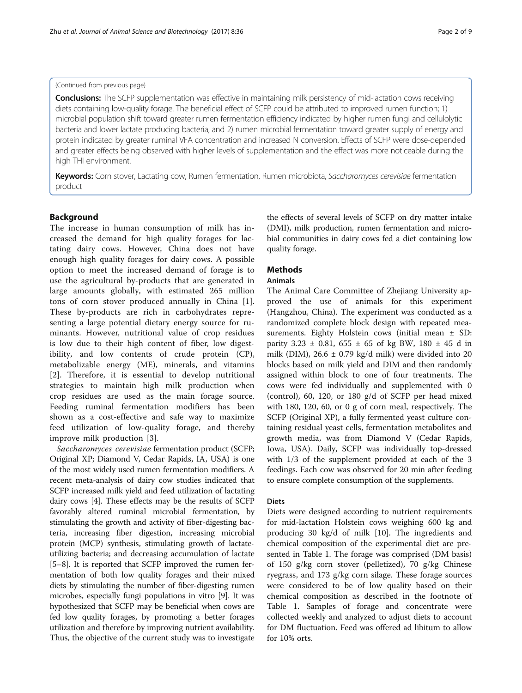## (Continued from previous page)

Conclusions: The SCFP supplementation was effective in maintaining milk persistency of mid-lactation cows receiving diets containing low-quality forage. The beneficial effect of SCFP could be attributed to improved rumen function; 1) microbial population shift toward greater rumen fermentation efficiency indicated by higher rumen fungi and cellulolytic bacteria and lower lactate producing bacteria, and 2) rumen microbial fermentation toward greater supply of energy and protein indicated by greater ruminal VFA concentration and increased N conversion. Effects of SCFP were dose-depended and greater effects being observed with higher levels of supplementation and the effect was more noticeable during the high THI environment.

Keywords: Corn stover, Lactating cow, Rumen fermentation, Rumen microbiota, Saccharomyces cerevisiae fermentation product

## Background

The increase in human consumption of milk has increased the demand for high quality forages for lactating dairy cows. However, China does not have enough high quality forages for dairy cows. A possible option to meet the increased demand of forage is to use the agricultural by-products that are generated in large amounts globally, with estimated 265 million tons of corn stover produced annually in China [\[1](#page-8-0)]. These by-products are rich in carbohydrates representing a large potential dietary energy source for ruminants. However, nutritional value of crop residues is low due to their high content of fiber, low digestibility, and low contents of crude protein (CP), metabolizable energy (ME), minerals, and vitamins [[2\]](#page-8-0). Therefore, it is essential to develop nutritional strategies to maintain high milk production when crop residues are used as the main forage source. Feeding ruminal fermentation modifiers has been shown as a cost-effective and safe way to maximize feed utilization of low-quality forage, and thereby improve milk production [[3\]](#page-8-0).

Saccharomyces cerevisiae fermentation product (SCFP; Original XP; Diamond V, Cedar Rapids, IA, USA) is one of the most widely used rumen fermentation modifiers. A recent meta-analysis of dairy cow studies indicated that SCFP increased milk yield and feed utilization of lactating dairy cows [[4\]](#page-8-0). These effects may be the results of SCFP favorably altered ruminal microbial fermentation, by stimulating the growth and activity of fiber-digesting bacteria, increasing fiber digestion, increasing microbial protein (MCP) synthesis, stimulating growth of lactateutilizing bacteria; and decreasing accumulation of lactate [[5](#page-8-0)–[8](#page-8-0)]. It is reported that SCFP improved the rumen fermentation of both low quality forages and their mixed diets by stimulating the number of fiber-digesting rumen microbes, especially fungi populations in vitro [\[9\]](#page-8-0). It was hypothesized that SCFP may be beneficial when cows are fed low quality forages, by promoting a better forages utilization and therefore by improving nutrient availability. Thus, the objective of the current study was to investigate the effects of several levels of SCFP on dry matter intake (DMI), milk production, rumen fermentation and microbial communities in dairy cows fed a diet containing low quality forage.

## Methods

## Animals

The Animal Care Committee of Zhejiang University approved the use of animals for this experiment (Hangzhou, China). The experiment was conducted as a randomized complete block design with repeated measurements. Eighty Holstein cows (initial mean ± SD: parity 3.23  $\pm$  0.81, 655  $\pm$  65 of kg BW, 180  $\pm$  45 d in milk (DIM), 26.6 ± 0.79 kg/d milk) were divided into 20 blocks based on milk yield and DIM and then randomly assigned within block to one of four treatments. The cows were fed individually and supplemented with 0 (control), 60, 120, or 180 g/d of SCFP per head mixed with 180, 120, 60, or 0 g of corn meal, respectively. The SCFP (Original XP), a fully fermented yeast culture containing residual yeast cells, fermentation metabolites and growth media, was from Diamond V (Cedar Rapids, Iowa, USA). Daily, SCFP was individually top-dressed with 1/3 of the supplement provided at each of the 3 feedings. Each cow was observed for 20 min after feeding to ensure complete consumption of the supplements.

## Diets

Diets were designed according to nutrient requirements for mid-lactation Holstein cows weighing 600 kg and producing 30 kg/d of milk [[10\]](#page-8-0). The ingredients and chemical composition of the experimental diet are presented in Table [1.](#page-2-0) The forage was comprised (DM basis) of 150 g/kg corn stover (pelletized), 70 g/kg Chinese ryegrass, and 173 g/kg corn silage. These forage sources were considered to be of low quality based on their chemical composition as described in the footnote of Table [1.](#page-2-0) Samples of forage and concentrate were collected weekly and analyzed to adjust diets to account for DM fluctuation. Feed was offered ad libitum to allow for 10% orts.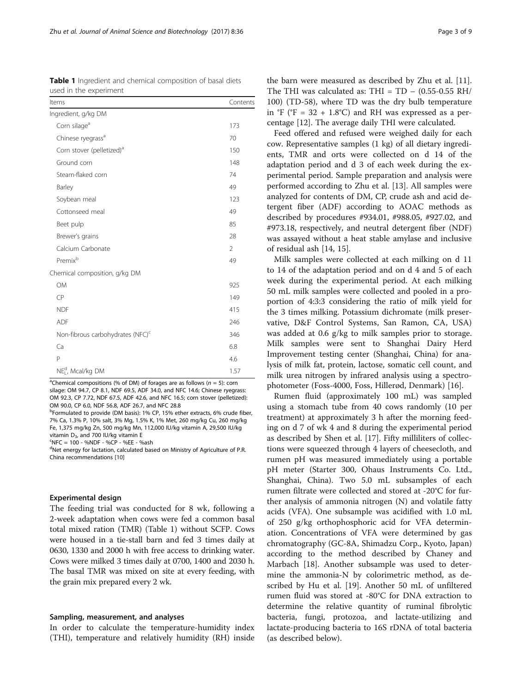<sup>a</sup>Chemical compositions (% of DM) of forages are as follows ( $n = 5$ ): corn silage: OM 94.7, CP 8.1, NDF 69.5, ADF 34.0, and NFC 14.6; Chinese ryegrass: OM 92.3, CP 7.72, NDF 67.5, ADF 42.6, and NFC 16.5; corn stover (pelletized): OM 90.0, CP 6.0, NDF 56.8, ADF 26.7, and NFC 28.8

<sup>b</sup>Formulated to provide (DM basis): 1% CP, 15% ether extracts, 6% crude fiber, 7% Ca, 1.3% P, 10% salt, 3% Mg, 1.5% K, 1% Met, 260 mg/kg Cu, 260 mg/kg Fe, 1,375 mg/kg Zn, 500 mg/kg Mn, 112,000 IU/kg vitamin A, 29,500 IU/kg vitamin  $D_3$ , and 700 IU/kg vitamin E

 $NFC = 100 - %NDF - %CP - %EE - %ash$ 

<sup>d</sup>Net energy for lactation, calculated based on Ministry of Agriculture of P.R. China recommendations [[10](#page-8-0)]

## Experimental design

The feeding trial was conducted for 8 wk, following a 2-week adaptation when cows were fed a common basal total mixed ration (TMR) (Table 1) without SCFP. Cows were housed in a tie-stall barn and fed 3 times daily at 0630, 1330 and 2000 h with free access to drinking water. Cows were milked 3 times daily at 0700, 1400 and 2030 h. The basal TMR was mixed on site at every feeding, with the grain mix prepared every 2 wk.

## Sampling, measurement, and analyses

In order to calculate the temperature-humidity index (THI), temperature and relatively humidity (RH) inside

the barn were measured as described by Zhu et al. [\[11](#page-8-0)]. The THI was calculated as: THI =  $TD - (0.55-0.55 RH)$ 100) (TD-58), where TD was the dry bulb temperature in  ${}^{\circ}F$  ( ${}^{\circ}F$  = 32 + 1.8 ${}^{\circ}C$ ) and RH was expressed as a percentage [[12\]](#page-8-0). The average daily THI were calculated.

Feed offered and refused were weighed daily for each cow. Representative samples (1 kg) of all dietary ingredients, TMR and orts were collected on d 14 of the adaptation period and d 3 of each week during the experimental period. Sample preparation and analysis were performed according to Zhu et al. [[13](#page-8-0)]. All samples were analyzed for contents of DM, CP, crude ash and acid detergent fiber (ADF) according to AOAC methods as described by procedures #934.01, #988.05, #927.02, and #973.18, respectively, and neutral detergent fiber (NDF) was assayed without a heat stable amylase and inclusive of residual ash [\[14](#page-8-0), [15\]](#page-8-0).

Milk samples were collected at each milking on d 11 to 14 of the adaptation period and on d 4 and 5 of each week during the experimental period. At each milking 50 mL milk samples were collected and pooled in a proportion of 4:3:3 considering the ratio of milk yield for the 3 times milking. Potassium dichromate (milk preservative, D&F Control Systems, San Ramon, CA, USA) was added at 0.6 g/kg to milk samples prior to storage. Milk samples were sent to Shanghai Dairy Herd Improvement testing center (Shanghai, China) for analysis of milk fat, protein, lactose, somatic cell count, and milk urea nitrogen by infrared analysis using a spectrophotometer (Foss-4000, Foss, Hillerød, Denmark) [\[16\]](#page-8-0).

Rumen fluid (approximately 100 mL) was sampled using a stomach tube from 40 cows randomly (10 per treatment) at approximately 3 h after the morning feeding on d 7 of wk 4 and 8 during the experimental period as described by Shen et al. [[17](#page-8-0)]. Fifty milliliters of collections were squeezed through 4 layers of cheesecloth, and rumen pH was measured immediately using a portable pH meter (Starter 300, Ohaus Instruments Co. Ltd., Shanghai, China). Two 5.0 mL subsamples of each rumen filtrate were collected and stored at -20°C for further analysis of ammonia nitrogen (N) and volatile fatty acids (VFA). One subsample was acidified with 1.0 mL of 250 g/kg orthophosphoric acid for VFA determination. Concentrations of VFA were determined by gas chromatography (GC-8A, Shimadzu Corp., Kyoto, Japan) according to the method described by Chaney and Marbach [\[18](#page-8-0)]. Another subsample was used to determine the ammonia-N by colorimetric method, as described by Hu et al. [\[19\]](#page-8-0). Another 50 mL of unfiltered rumen fluid was stored at -80°C for DNA extraction to determine the relative quantity of ruminal fibrolytic bacteria, fungi, protozoa, and lactate-utilizing and lactate-producing bacteria to 16S rDNA of total bacteria (as described below).

Table 1 Ingredient and chemical composition of basal diets used in the experiment

Items **Internal Contents** 

<span id="page-2-0"></span>

|  |  |  |  |  |  |  |  |  | Zhu et al. Journal of Animal Science and Biotechnology (2017) 8:36 |  |  |
|--|--|--|--|--|--|--|--|--|--------------------------------------------------------------------|--|--|
|--|--|--|--|--|--|--|--|--|--------------------------------------------------------------------|--|--|

| Ingredient, g/kg DM                          |                |
|----------------------------------------------|----------------|
| Corn silage <sup>a</sup>                     | 173            |
| Chinese ryegrass <sup>a</sup>                | 70             |
| Corn stover (pelletized) <sup>a</sup>        | 150            |
| Ground corn                                  | 148            |
| Steam-flaked corn                            | 74             |
| Barley                                       | 49             |
| Soybean meal                                 | 123            |
| Cottonseed meal                              | 49             |
| Beet pulp                                    | 85             |
| Brewer's grains                              | 28             |
| Calcium Carbonate                            | $\mathfrak{D}$ |
| Premix <sup>b</sup>                          | 49             |
| Chemical composition, g/kg DM                |                |
| <b>OM</b>                                    | 925            |
| <b>CP</b>                                    | 149            |
| <b>NDF</b>                                   | 415            |
| ADF                                          | 246            |
| Non-fibrous carbohydrates (NFC) <sup>c</sup> | 346            |
| Ca                                           | 6.8            |
| P                                            | 4.6            |
| NE <sup>d</sup> , Mcal/kg DM                 | 1.57           |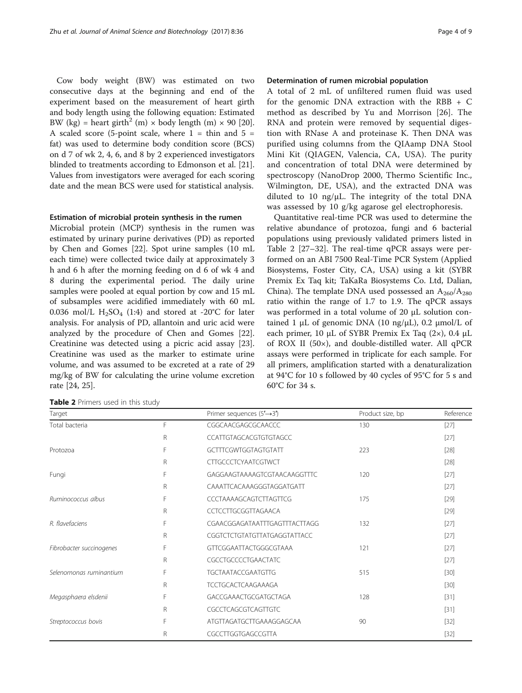Cow body weight (BW) was estimated on two consecutive days at the beginning and end of the experiment based on the measurement of heart girth and body length using the following equation: Estimated BW (kg) = heart girth<sup>2</sup> (m)  $\times$  body length (m)  $\times$  90 [\[20](#page-8-0)]. A scaled score (5-point scale, where  $1 =$  thin and  $5 =$ fat) was used to determine body condition score (BCS) on d 7 of wk 2, 4, 6, and 8 by 2 experienced investigators blinded to treatments according to Edmonson et al. [\[21](#page-8-0)]. Values from investigators were averaged for each scoring date and the mean BCS were used for statistical analysis.

#### Estimation of microbial protein synthesis in the rumen

Microbial protein (MCP) synthesis in the rumen was estimated by urinary purine derivatives (PD) as reported by Chen and Gomes [\[22](#page-8-0)]. Spot urine samples (10 mL each time) were collected twice daily at approximately 3 h and 6 h after the morning feeding on d 6 of wk 4 and 8 during the experimental period. The daily urine samples were pooled at equal portion by cow and 15 mL of subsamples were acidified immediately with 60 mL 0.036 mol/L  $H_2SO_4$  (1:4) and stored at -20°C for later analysis. For analysis of PD, allantoin and uric acid were analyzed by the procedure of Chen and Gomes [\[22](#page-8-0)]. Creatinine was detected using a picric acid assay [\[23](#page-8-0)]. Creatinine was used as the marker to estimate urine volume, and was assumed to be excreted at a rate of 29 mg/kg of BW for calculating the urine volume excretion rate [\[24](#page-8-0), [25](#page-8-0)].

| Table 2 Primers used in this study |  |  |  |  |  |
|------------------------------------|--|--|--|--|--|
|------------------------------------|--|--|--|--|--|

## Determination of rumen microbial population

A total of 2 mL of unfiltered rumen fluid was used for the genomic DNA extraction with the RBB + C method as described by Yu and Morrison [\[26](#page-8-0)]. The RNA and protein were removed by sequential digestion with RNase A and proteinase K. Then DNA was purified using columns from the QIAamp DNA Stool Mini Kit (QIAGEN, Valencia, CA, USA). The purity and concentration of total DNA were determined by spectroscopy (NanoDrop 2000, Thermo Scientific Inc., Wilmington, DE, USA), and the extracted DNA was diluted to 10 ng/μL. The integrity of the total DNA was assessed by 10 g/kg agarose gel electrophoresis.

Quantitative real-time PCR was used to determine the relative abundance of protozoa, fungi and 6 bacterial populations using previously validated primers listed in Table 2 [[27](#page-8-0)–[32](#page-8-0)]. The real-time qPCR assays were performed on an ABI 7500 Real-Time PCR System (Applied Biosystems, Foster City, CA, USA) using a kit (SYBR Premix Ex Taq kit; TaKaRa Biosystems Co. Ltd, Dalian, China). The template DNA used possessed an  $A_{260}/A_{280}$ ratio within the range of 1.7 to 1.9. The qPCR assays was performed in a total volume of 20 μL solution contained 1 μL of genomic DNA (10 ng/μL), 0.2 μmol/L of each primer, 10 μL of SYBR Premix Ex Taq (2×), 0.4 μL of ROX II (50×), and double-distilled water. All qPCR assays were performed in triplicate for each sample. For all primers, amplification started with a denaturalization at 94°C for 10 s followed by 40 cycles of 95°C for 5 s and 60°C for 34 s.

| Target                   |   | Primer sequences $(5' \rightarrow 3')$ | Product size, bp | Reference |
|--------------------------|---|----------------------------------------|------------------|-----------|
| Total bacteria           | F | CGGCAACGAGCGCAACCC                     | 130              | $[27]$    |
|                          | R | <b>CCATTGTAGCACGTGTGTAGCC</b>          |                  | $[27]$    |
| Protozoa                 | F | GCTTTCGWTGGTAGTGTATT                   | 223              | $[28]$    |
|                          | R | <b>CTTGCCCTCYAATCGTWCT</b>             |                  | $[28]$    |
| Fungi                    | F | GAGGAAGTAAAAGTCGTAACAAGGTTTC           | 120              | $[27]$    |
|                          | R | CAAATTCACAAAGGGTAGGATGATT              |                  | $[27]$    |
| Ruminococcus albus       | F | CCCTAAAAGCAGTCTTAGTTCG                 | 175              | $[29]$    |
|                          | R | CCTCCTTGCGGTTAGAACA                    |                  | $[29]$    |
| R. flavefaciens          | F | CGAACGGAGATAATTTGAGTTTACTTAGG          | 132              | $[27]$    |
|                          | R | CGGTCTCTGTATGTTATGAGGTATTACC           |                  | $[27]$    |
| Fibrobacter succinogenes | F | GTTCGGAATTACTGGGCGTAAA                 | 121              | $[27]$    |
|                          | R | <b>CGCCTGCCCCTGAACTATC</b>             |                  | $[27]$    |
| Selenomonas ruminantium  | F | <b>TGCTAATACCGAATGTTG</b>              | 515              | $[30]$    |
|                          | R | <b>TCCTGCACTCAAGAAAGA</b>              |                  | $[30]$    |
| Megasphaera elsdenii     | F | GACCGAAACTGCGATGCTAGA                  | 128              | $[31]$    |
|                          | R | <b>CGCCTCAGCGTCAGTTGTC</b>             |                  | $[31]$    |
| Streptococcus bovis      | F | ATGTTAGATGCTTGAAAGGAGCAA               | 90               | $[32]$    |
|                          | R | CGCCTTGGTGAGCCGTTA                     |                  | $[32]$    |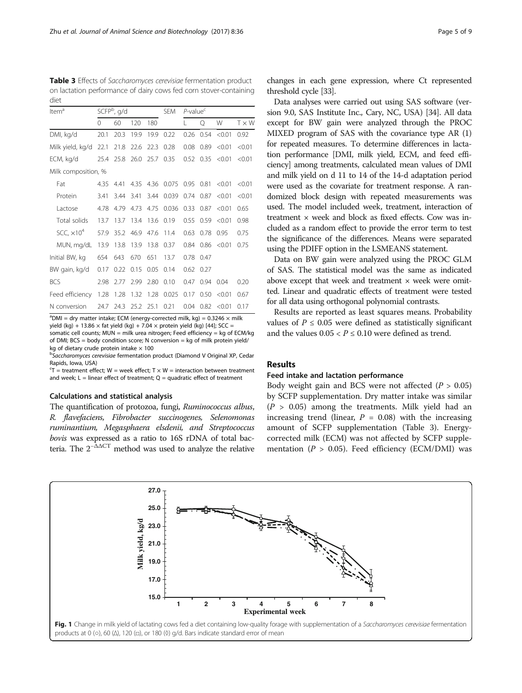<span id="page-4-0"></span>Table 3 Effects of Saccharomyces cerevisiae fermentation product on lactation performance of dairy cows fed corn stover-containing diet

| Item <sup>a</sup>   |      | SCFP <sup>b</sup> , g/d |      |      | <b>SEM</b> |      | $P$ -value <sup>c</sup> |        |              |
|---------------------|------|-------------------------|------|------|------------|------|-------------------------|--------|--------------|
|                     | 0    | 60                      | 120  | 180  |            | L    | Q                       | W      | $T \times W$ |
| DMI, kg/d           | 20.1 | 20.3                    | 19.9 | 19.9 | 0.22       | 0.26 | 0.54                    | < 0.01 | 0.92         |
| Milk yield, kg/d    | 22.1 | 21.8                    | 22.6 | 22.3 | 0.28       | 0.08 | 0.89                    | < 0.01 | < 0.01       |
| ECM, kg/d           | 25.4 | 25.8                    | 26.0 | 25.7 | 0.35       | 0.52 | 0.35                    | < 0.01 | < 0.01       |
| Milk composition, % |      |                         |      |      |            |      |                         |        |              |
| Fat                 | 4.35 | 4.41                    | 4.35 | 4.36 | 0.075      | 0.95 | 0.81                    | < 0.01 | < 0.01       |
| Protein             | 3.41 | 3.44                    | 3.41 | 3.44 | 0.039      | 0.74 | 0.87                    | < 0.01 | < 0.01       |
| Lactose             | 4.78 | 4.79                    | 4.73 | 4.75 | 0.036      | 0.33 | 0.87                    | < 0.01 | 0.65         |
| Total solids        | 13.7 | 13.7                    | 13.4 | 13.6 | 0.19       | 0.55 | 0.59                    | < 0.01 | 0.98         |
| SCC, $\times 10^4$  | 57.9 | 35.2                    | 46.9 | 47.6 | 11.4       | 0.63 | 0.78                    | 0.95   | 0.75         |
| MUN, mg/dL          | 13.9 | 13.8                    | 13.9 | 13.8 | 0.37       | 0.84 | 0.86                    | < 0.01 | 0.75         |
| Initial BW, kg      | 654  | 643                     | 670  | 651  | 13.7       | 0.78 | 0.47                    |        |              |
| BW gain, kg/d       | 0.17 | 0.22                    | 0.15 | 0.05 | 0.14       | 0.62 | 0.27                    |        |              |
| <b>BCS</b>          | 2.98 | 2.77                    | 2.99 | 2.80 | 0.10       | 0.47 | 0.94                    | 0.04   | 0.20         |
| Feed efficiency     | 1.28 | 1.28                    | 1.32 | 1.28 | 0.025      | 0.17 | 0.50                    | < 0.01 | 0.67         |
| N conversion        | 24.7 | 24.3                    | 25.2 | 25.1 | 0.21       | 0.04 | 0.82                    | < 0.01 | 0.17         |

 $a<sup>a</sup>$ DMI = dry matter intake; ECM (energy-corrected milk, kg) = 0.3246  $\times$  milk yield (kg) + 13.86  $\times$  fat yield (kg) + 7.04  $\times$  protein yield (kg) [[44\]](#page-8-0); SCC = somatic cell counts;  $MUN = milk$  urea nitrogen; Feed efficiency = kg of ECM/kg of DMI; BCS = body condition score; N conversion = kg of milk protein yield/ kg of dietary crude protein intake  $\times$  100

**b**Saccharomyces cerevisiae fermentation product (Diamond V Original XP, Cedar Rapids, Iowa, USA)

 $\overline{C}$  = treatment effect; W = week effect; T  $\times$  W = interaction between treatment and week;  $L =$  linear effect of treatment;  $Q =$  quadratic effect of treatment

#### Calculations and statistical analysis

The quantification of protozoa, fungi, Ruminococcus albus, R. flavefaciens, Fibrobacter succinogenes, Selenomonas ruminantium, Megasphaera elsdenii, and Streptococcus bovis was expressed as a ratio to 16S rDNA of total bacteria. The 2−ΔΔCT method was used to analyze the relative

changes in each gene expression, where Ct represented threshold cycle [\[33](#page-8-0)].

Data analyses were carried out using SAS software (version 9.0, SAS Institute Inc., Cary, NC, USA) [\[34](#page-8-0)]. All data except for BW gain were analyzed through the PROC MIXED program of SAS with the covariance type AR (1) for repeated measures. To determine differences in lactation performance [DMI, milk yield, ECM, and feed efficiency] among treatments, calculated mean values of DMI and milk yield on d 11 to 14 of the 14-d adaptation period were used as the covariate for treatment response. A randomized block design with repeated measurements was used. The model included week, treatment, interaction of treatment × week and block as fixed effects. Cow was included as a random effect to provide the error term to test the significance of the differences. Means were separated using the PDIFF option in the LSMEANS statement.

Data on BW gain were analyzed using the PROC GLM of SAS. The statistical model was the same as indicated above except that week and treatment  $\times$  week were omitted. Linear and quadratic effects of treatment were tested for all data using orthogonal polynomial contrasts.

Results are reported as least squares means. Probability values of  $P \leq 0.05$  were defined as statistically significant and the values  $0.05 < P \leq 0.10$  were defined as trend.

#### Results

#### Feed intake and lactation performance

Body weight gain and BCS were not affected  $(P > 0.05)$ by SCFP supplementation. Dry matter intake was similar  $(P > 0.05)$  among the treatments. Milk yield had an increasing trend (linear,  $P = 0.08$ ) with the increasing amount of SCFP supplementation (Table 3). Energycorrected milk (ECM) was not affected by SCFP supplementation ( $P > 0.05$ ). Feed efficiency (ECM/DMI) was

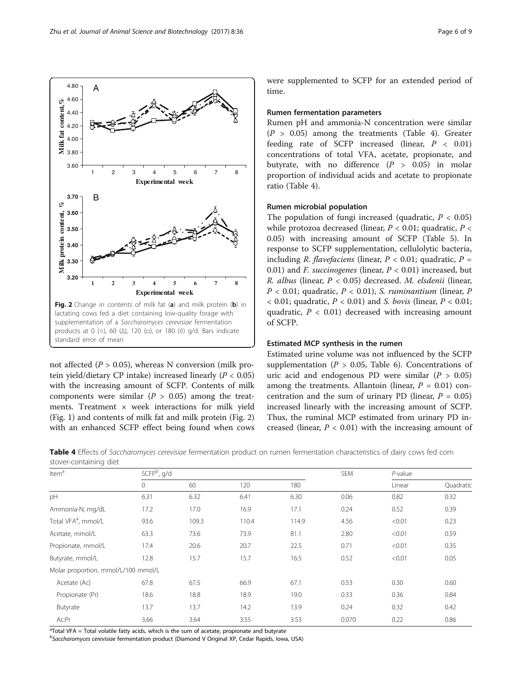standard error of mean

not affected ( $P > 0.05$ ), whereas N conversion (milk protein yield/dietary CP intake) increased linearly ( $P < 0.05$ ) with the increasing amount of SCFP. Contents of milk components were similar ( $P > 0.05$ ) among the treatments. Treatment  $\times$  week interactions for milk yield (Fig. [1](#page-4-0)) and contents of milk fat and milk protein (Fig. 2) with an enhanced SCFP effect being found when cows were supplemented to SCFP for an extended period of time.

## Rumen fermentation parameters

Rumen pH and ammonia-N concentration were similar  $(P > 0.05)$  among the treatments (Table 4). Greater feeding rate of SCFP increased (linear,  $P < 0.01$ ) concentrations of total VFA, acetate, propionate, and butyrate, with no difference  $(P > 0.05)$  in molar proportion of individual acids and acetate to propionate ratio (Table 4).

## Rumen microbial population

The population of fungi increased (quadratic,  $P < 0.05$ ) while protozoa decreased (linear,  $P < 0.01$ ; quadratic,  $P <$ 0.05) with increasing amount of SCFP (Table [5\)](#page-6-0). In response to SCFP supplementation, cellulolytic bacteria, including *R. flavefaciens* (linear,  $P < 0.01$ ; quadratic,  $P =$ 0.01) and *F. succinogenes* (linear,  $P < 0.01$ ) increased, but R. albus (linear,  $P < 0.05$ ) decreased. M. elsdenii (linear,  $P < 0.01$ ; quadratic,  $P < 0.01$ ), S. ruminantium (linear, P  $< 0.01$ ; quadratic,  $P < 0.01$ ) and *S. bovis* (linear,  $P < 0.01$ ; quadratic,  $P < 0.01$ ) decreased with increasing amount of SCFP.

## Estimated MCP synthesis in the rumen

Estimated urine volume was not influenced by the SCFP supplementation ( $P > 0.05$ , Table [6](#page-6-0)). Concentrations of uric acid and endogenous PD were similar ( $P > 0.05$ ) among the treatments. Allantoin (linear,  $P = 0.01$ ) concentration and the sum of urinary PD (linear,  $P = 0.05$ ) increased linearly with the increasing amount of SCFP. Thus, the ruminal MCP estimated from urinary PD increased (linear,  $P < 0.01$ ) with the increasing amount of

Table 4 Effects of Saccharomyces cerevisiae fermentation product on rumen fermentation characteristics of dairy cows fed corn stover-containing digt

| SLOVER COLLIGITING OICE             |                         |       |       |       |            |            |           |  |  |  |
|-------------------------------------|-------------------------|-------|-------|-------|------------|------------|-----------|--|--|--|
| Item <sup>a</sup>                   | SCFP <sup>b</sup> , g/d |       |       |       | <b>SEM</b> | $P$ -value |           |  |  |  |
|                                     | $\circ$                 | 60    | 120   | 180   |            | Linear     | Quadratio |  |  |  |
| pH                                  | 6.31                    | 6.32  | 6.41  | 6.30  | 0.06       | 0.82       | 0.32      |  |  |  |
| Ammonia-N, mg/dL                    | 17.2                    | 17.0  | 16.9  | 17.1  | 0.24       | 0.52       | 0.39      |  |  |  |
| Total VFA <sup>a</sup> , mmol/L     | 93.6                    | 109.3 | 110.4 | 114.9 | 4.56       | < 0.01     | 0.23      |  |  |  |
| Acetate, mmol/L                     | 63.3                    | 73.6  | 73.9  | 81.1  | 2.80       | < 0.01     | 0.59      |  |  |  |
| Propionate, mmol/L                  | 17.4                    | 20.6  | 20.7  | 22.5  | 0.71       | < 0.01     | 0.35      |  |  |  |
| Butyrate, mmol/L                    | 12.8                    | 15.7  | 15.7  | 16.5  | 0.52       | < 0.01     | 0.05      |  |  |  |
| Molar proportion, mmol/L/100 mmol/L |                         |       |       |       |            |            |           |  |  |  |
| Acetate (Ac)                        | 67.8                    | 67.5  | 66.9  | 67.1  | 0.53       | 0.30       | 0.60      |  |  |  |
| Propionate (Pr)                     | 18.6                    | 18.8  | 18.9  | 19.0  | 0.33       | 0.36       | 0.84      |  |  |  |
| Butyrate                            | 13.7                    | 13.7  | 14.2  | 13.9  | 0.24       | 0.32       | 0.42      |  |  |  |
| Ac:Pr                               | 3.66                    | 3.64  | 3.55  | 3.53  | 0.070      | 0.22       | 0.86      |  |  |  |

<sup>a</sup>Total VFA = Total volatile fatty acids, which is the sum of acetate, propionate and butyrate

<sup>b</sup>Saccharomyces cerevisiae fermentation product (Diamond V Original XP, Cedar Rapids, Iowa, USA)

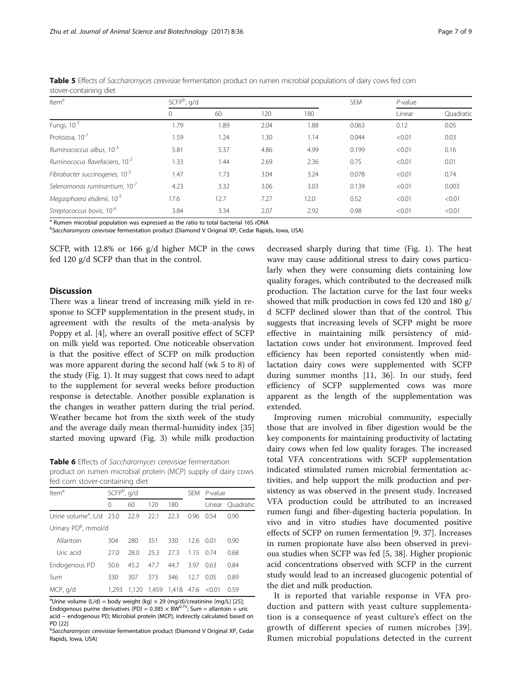| Item <sup>a</sup>                          | SCFP <sup>b</sup> , g/d |      |      |      | <b>SEM</b> | $P$ -value |           |
|--------------------------------------------|-------------------------|------|------|------|------------|------------|-----------|
|                                            | $\Omega$                | 60   | 120  | 180  |            | Linear     | Ouadratic |
| Fungi, 10 <sup>-3</sup>                    | 1.79                    | .89  | 2.04 | 1.88 | 0.063      | 0.12       | 0.05      |
| Protozoa, 10 <sup>-1</sup>                 | 1.59                    | 1.24 | 1.30 | 1.14 | 0.044      | < 0.01     | 0.03      |
| Ruminococcus albus, 10 <sup>-3</sup>       | 5.81                    | 5.37 | 4.86 | 4.99 | 0.199      | < 0.01     | 0.16      |
| Ruminococus flavefaciens, 10 <sup>-2</sup> | 1.33                    | 1.44 | 2.69 | 2.36 | 0.75       | < 0.01     | 0.01      |
| Fibrobacter succinogenes, $10^{-2}$        | 1.47                    | 1.73 | 3.04 | 3.24 | 0.078      | < 0.01     | 0.74      |
| Selenomonas ruminantium, 10 <sup>-/</sup>  | 4.23                    | 3.32 | 3.06 | 3.03 | 0.139      | < 0.01     | 0.003     |
| Megasphaera elsdenii, 10 <sup>-5</sup>     | 17.6                    | 12.7 | 7.27 | 12.0 | 0.52       | < 0.01     | < 0.01    |
| Streptococcus bovis, 10 <sup>-6</sup>      | 3.84                    | 3.34 | 2.07 | 2.92 | 0.98       | < 0.01     | < 0.01    |

<span id="page-6-0"></span>Table 5 Effects of Saccharomyces cerevisiae fermentation product on rumen microbial populations of dairy cows fed corn stover-containing diet

<sup>a</sup> Rumen microbial population was expressed as the ratio to total bacterial 16S rDNA

<sup>b</sup>Saccharomyces cerevisiae fermentation product (Diamond V Original XP, Cedar Rapids, Iowa, USA)

SCFP, with 12.8% or 166 g/d higher MCP in the cows fed 120 g/d SCFP than that in the control.

## **Discussion**

There was a linear trend of increasing milk yield in response to SCFP supplementation in the present study, in agreement with the results of the meta-analysis by Poppy et al. [[4\]](#page-8-0), where an overall positive effect of SCFP on milk yield was reported. One noticeable observation is that the positive effect of SCFP on milk production was more apparent during the second half (wk 5 to 8) of the study (Fig. [1\)](#page-4-0). It may suggest that cows need to adapt to the supplement for several weeks before production response is detectable. Another possible explanation is the changes in weather pattern during the trial period. Weather became hot from the sixth week of the study and the average daily mean thermal-humidity index [[35](#page-8-0)] started moving upward (Fig. [3\)](#page-7-0) while milk production

Table 6 Effects of Saccharomyces cerevisiae fermentation product on rumen microbial protein (MCP) supply of dairy cows fed corn stover-containing diet

| Item <sup>a</sup>                           | SCFP <sup>b</sup> , g/d |                               |           |      |           | SFM P-value |                  |
|---------------------------------------------|-------------------------|-------------------------------|-----------|------|-----------|-------------|------------------|
|                                             | 0                       | 60                            | 120       | 180  |           |             | Linear Ouadratic |
| Urine volume <sup>a</sup> , L/d $23.0$ 22.9 |                         |                               | 22.1      | 22.3 | 0.96      | 0.54        | 0.90             |
| Urinary PD <sup>b</sup> , mmol/d            |                         |                               |           |      |           |             |                  |
| Allantoin                                   | 304                     | 280                           | 351       | 330  | 12.6 0.01 |             | 0.90             |
| Uric acid                                   | 27.0                    | 28.0                          | 25.3 27.3 |      | 1.15 0.74 |             | 0.68             |
| Endogenous PD                               | 50.6                    | 45.2                          | 47.7      | 44.7 | 3.97      | 0.63        | 0.84             |
| Sum                                         | 330                     | 307                           | 373       | 346  | 12.7 0.05 |             | 0.89             |
| MCP, g/d                                    | 1.293                   | 1,120 1,459 1,418 47.6 < 0.01 |           |      |           |             | 0.59             |

<sup>a</sup>Urine volume (L/d) = body weight (kg)  $\times$  29 (mg/d)/creatinine (mg/L) [[25\]](#page-8-0); Endogenous purine derivatives (PD) =  $0.385 \times BW^{0.75}$ ; Sum = allantoin + uric acid − endogenous PD; Microbial protein (MCP), indirectly calculated based on PD [\[22](#page-8-0)]<br><sup>b</sup>Saccharomyces cerevisiae fermentation product (Diamond V Original XP, Cedar

Rapids, Iowa, USA)

decreased sharply during that time (Fig. [1](#page-4-0)). The heat wave may cause additional stress to dairy cows particularly when they were consuming diets containing low quality forages, which contributed to the decreased milk production. The lactation curve for the last four weeks showed that milk production in cows fed 120 and 180 g/ d SCFP declined slower than that of the control. This suggests that increasing levels of SCFP might be more effective in maintaining milk persistency of midlactation cows under hot environment. Improved feed efficiency has been reported consistently when midlactation dairy cows were supplemented with SCFP during summer months [\[11](#page-8-0), [36](#page-8-0)]. In our study, feed efficiency of SCFP supplemented cows was more apparent as the length of the supplementation was extended.

Improving rumen microbial community, especially those that are involved in fiber digestion would be the key components for maintaining productivity of lactating dairy cows when fed low quality forages. The increased total VFA concentrations with SCFP supplementation indicated stimulated rumen microbial fermentation activities, and help support the milk production and persistency as was observed in the present study. Increased VFA production could be attributed to an increased rumen fungi and fiber-digesting bacteria population. In vivo and in vitro studies have documented positive effects of SCFP on rumen fermentation [[9, 37\]](#page-8-0). Increases in rumen propionate have also been observed in previous studies when SCFP was fed [[5, 38\]](#page-8-0). Higher propionic acid concentrations observed with SCFP in the current study would lead to an increased glucogenic potential of the diet and milk production.

It is reported that variable response in VFA production and pattern with yeast culture supplementation is a consequence of yeast culture's effect on the growth of different species of rumen microbes [[39](#page-8-0)]. Rumen microbial populations detected in the current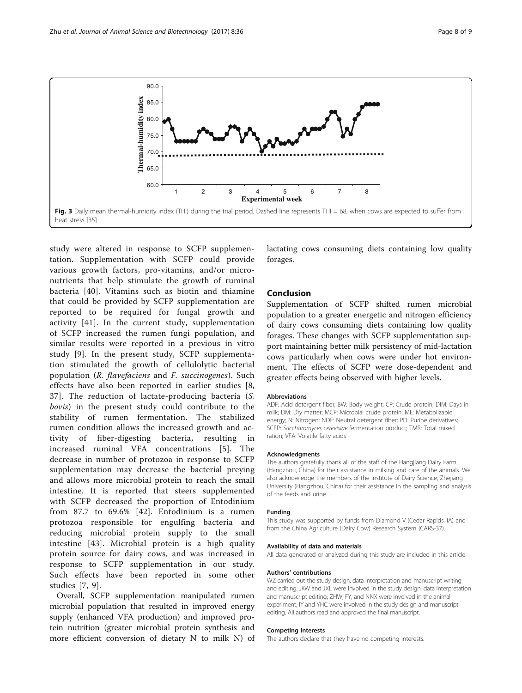<span id="page-7-0"></span>

study were altered in response to SCFP supplementation. Supplementation with SCFP could provide various growth factors, pro-vitamins, and/or micronutrients that help stimulate the growth of ruminal bacteria [[40](#page-8-0)]. Vitamins such as biotin and thiamine that could be provided by SCFP supplementation are reported to be required for fungal growth and activity [\[41\]](#page-8-0). In the current study, supplementation of SCFP increased the rumen fungi population, and similar results were reported in a previous in vitro study [[9](#page-8-0)]. In the present study, SCFP supplementation stimulated the growth of cellulolytic bacterial population (R. flavefaciens and F. succinogenes). Such effects have also been reported in earlier studies [\[8](#page-8-0), [37\]](#page-8-0). The reduction of lactate-producing bacteria (S. bovis) in the present study could contribute to the stability of rumen fermentation. The stabilized rumen condition allows the increased growth and activity of fiber-digesting bacteria, resulting in increased ruminal VFA concentrations [[5\]](#page-8-0). The decrease in number of protozoa in response to SCFP supplementation may decrease the bacterial preying and allows more microbial protein to reach the small intestine. It is reported that steers supplemented with SCFP decreased the proportion of Entodinium from 87.7 to 69.6% [\[42\]](#page-8-0). Entodinium is a rumen protozoa responsible for engulfing bacteria and reducing microbial protein supply to the small intestine [\[43\]](#page-8-0). Microbial protein is a high quality protein source for dairy cows, and was increased in response to SCFP supplementation in our study. Such effects have been reported in some other studies [[7, 9\]](#page-8-0).

Overall, SCFP supplementation manipulated rumen microbial population that resulted in improved energy supply (enhanced VFA production) and improved protein nutrition (greater microbial protein synthesis and more efficient conversion of dietary N to milk N) of lactating cows consuming diets containing low quality forages.

## Conclusion

Supplementation of SCFP shifted rumen microbial population to a greater energetic and nitrogen efficiency of dairy cows consuming diets containing low quality forages. These changes with SCFP supplementation support maintaining better milk persistency of mid-lactation cows particularly when cows were under hot environment. The effects of SCFP were dose-dependent and greater effects being observed with higher levels.

#### Abbreviations

ADF: Acid detergent fiber; BW: Body weight; CP: Crude protein; DIM: Days in milk; DM: Dry matter; MCP: Microbial crude protein; ME: Metabolizable energy; N: Nitrogen; NDF: Neutral detergent fiber; PD: Purine derivatives; SCFP: Saccharomyces cerevisiae fermentation product; TMR: Total mixed ration; VFA: Volatile fatty acids

#### Acknowledgments

The authors gratefully thank all of the staff of the Hangjiang Dairy Farm (Hangzhou, China) for their assistance in milking and care of the animals. We also acknowledge the members of the Institute of Dairy Science, Zhejiang University (Hangzhou, China) for their assistance in the sampling and analysis of the feeds and urine.

#### Funding

This study was supported by funds from Diamond V (Cedar Rapids, IA) and from the China Agriculture (Dairy Cow) Research System (CARS-37).

#### Availability of data and materials

All data generated or analyzed during this study are included in this article.

#### Authors' contributions

WZ carried out the study design, data interpretation and manuscript writing and editing; JKW and JXL were involved in the study design, data interpretation and manuscript editing; ZHW, FY, and NNX were involved in the animal experiment; IY and YHC were involved in the study design and manuscript editing. All authors read and approved the final manuscript.

#### Competing interests

The authors declare that they have no competing interests.